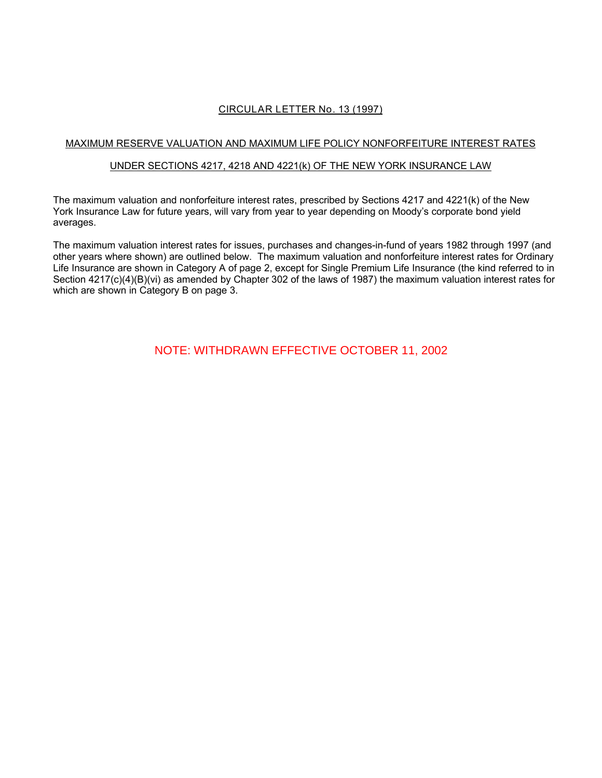# **CIRCULAR LETTER No. 13 (1997)**

# MAXIMUM RESERVE VALUATION AND MAXIMUM LIFE POLICY NONFORFEITURE INTEREST RATES

### UNDER SECTIONS 4217, 4218 AND 4221(k) OF THE NEW YORK INSURANCE LAW

The maximum valuation and nonforfeiture interest rates, prescribed by Sections 4217 and 4221(k) of the New York Insurance Law for future years, will vary from year to year depending on Moody's corporate bond yield averages.

The maximum valuation interest rates for issues, purchases and changes-in-fund of years 1982 through 1997 (and other years where shown) are outlined below. The maximum valuation and nonforfeiture interest rates for Ordinary Life Insurance are shown in Category A of page 2, except for Single Premium Life Insurance (the kind referred to in Section 4217(c)(4)(B)(vi) as amended by Chapter 302 of the laws of 1987) the maximum valuation interest rates for which are shown in Category B on page 3.

NOTE: WITHDRAWN EFFECTIVE OCTOBER 11, 2002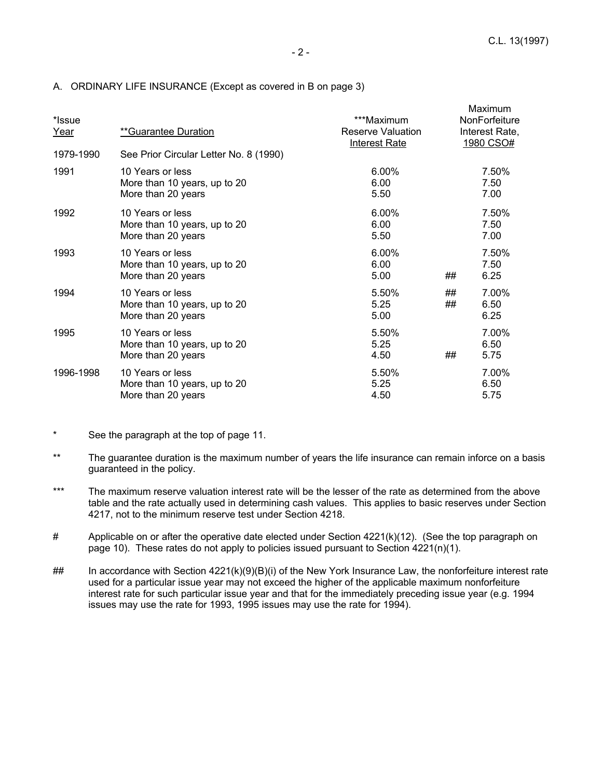$M = 1.1$ 

| *Issue<br><u>Year</u> | **Guarantee Duration                                                   | ***Maximum<br>Reserve Valuation<br><b>Interest Rate</b> |          | <u>Maximum</u><br><b>NonForfeiture</b><br>Interest Rate,<br>1980 CSO# |
|-----------------------|------------------------------------------------------------------------|---------------------------------------------------------|----------|-----------------------------------------------------------------------|
| 1979-1990             | See Prior Circular Letter No. 8 (1990)                                 |                                                         |          |                                                                       |
| 1991                  | 10 Years or less<br>More than 10 years, up to 20<br>More than 20 years | 6.00%<br>6.00<br>5.50                                   |          | 7.50%<br>7.50<br>7.00                                                 |
| 1992                  | 10 Years or less<br>More than 10 years, up to 20<br>More than 20 years | 6.00%<br>6.00<br>5.50                                   |          | 7.50%<br>7.50<br>7.00                                                 |
| 1993                  | 10 Years or less<br>More than 10 years, up to 20<br>More than 20 years | 6.00%<br>6.00<br>5.00                                   | ##       | 7.50%<br>7.50<br>6.25                                                 |
| 1994                  | 10 Years or less<br>More than 10 years, up to 20<br>More than 20 years | 5.50%<br>5.25<br>5.00                                   | ##<br>## | 7.00%<br>6.50<br>6.25                                                 |
| 1995                  | 10 Years or less<br>More than 10 years, up to 20<br>More than 20 years | 5.50%<br>5.25<br>4.50                                   | ##       | 7.00%<br>6.50<br>5.75                                                 |
| 1996-1998             | 10 Years or less<br>More than 10 years, up to 20<br>More than 20 years | 5.50%<br>5.25<br>4.50                                   |          | 7.00%<br>6.50<br>5.75                                                 |

### A. ORDINARY LIFE INSURANCE (Except as covered in B on page 3)

- \* See the paragraph at the top of page 11.
- \*\* The guarantee duration is the maximum number of years the life insurance can remain inforce on a basis guaranteed in the policy.
- \*\*\* The maximum reserve valuation interest rate will be the lesser of the rate as determined from the above table and the rate actually used in determining cash values. This applies to basic reserves under Section 4217, not to the minimum reserve test under Section 4218.
- # Applicable on or after the operative date elected under Section 4221(k)(12). (See the top paragraph on page 10). These rates do not apply to policies issued pursuant to Section 4221(n)(1).
- ## In accordance with Section 4221(k)(9)(B)(i) of the New York Insurance Law, the nonforfeiture interest rate used for a particular issue year may not exceed the higher of the applicable maximum nonforfeiture interest rate for such particular issue year and that for the immediately preceding issue year (e.g. 1994 issues may use the rate for 1993, 1995 issues may use the rate for 1994).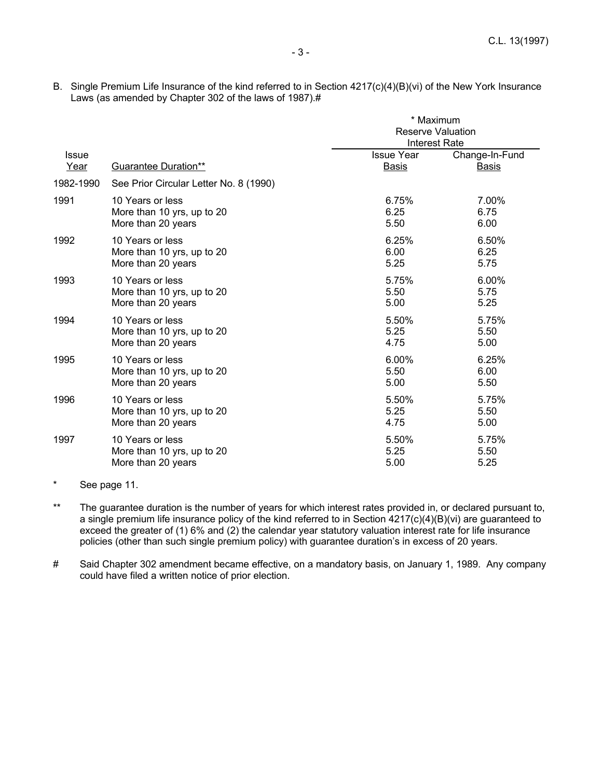B. Single Premium Life Insurance of the kind referred to in Section 4217(c)(4)(B)(vi) of the New York Insurance Laws (as amended by Chapter 302 of the laws of 1987).#

|                                        | * Maximum                                                                                                    |                                                                       |
|----------------------------------------|--------------------------------------------------------------------------------------------------------------|-----------------------------------------------------------------------|
|                                        |                                                                                                              |                                                                       |
|                                        |                                                                                                              |                                                                       |
|                                        |                                                                                                              | Change-In-Fund                                                        |
| <b>Guarantee Duration**</b>            | <b>Basis</b>                                                                                                 | <b>Basis</b>                                                          |
| See Prior Circular Letter No. 8 (1990) |                                                                                                              |                                                                       |
| 10 Years or less                       | 6.75%                                                                                                        | 7.00%                                                                 |
|                                        | 6.25                                                                                                         | 6.75                                                                  |
| More than 20 years                     | 5.50                                                                                                         | 6.00                                                                  |
| 10 Years or less                       | 6.25%                                                                                                        | 6.50%                                                                 |
|                                        | 6.00                                                                                                         | 6.25                                                                  |
| More than 20 years                     | 5.25                                                                                                         | 5.75                                                                  |
| 10 Years or less                       | 5.75%                                                                                                        | 6.00%                                                                 |
| More than 10 yrs, up to 20             | 5.50                                                                                                         | 5.75                                                                  |
| More than 20 years                     | 5.00                                                                                                         | 5.25                                                                  |
| 10 Years or less                       | 5.50%                                                                                                        | 5.75%                                                                 |
| More than 10 yrs, up to 20             | 5.25                                                                                                         | 5.50                                                                  |
|                                        | 4.75                                                                                                         | 5.00                                                                  |
| 10 Years or less                       | $6.00\%$                                                                                                     | 6.25%                                                                 |
| More than 10 yrs, up to 20             | 5.50                                                                                                         | 6.00                                                                  |
| More than 20 years                     | 5.00                                                                                                         | 5.50                                                                  |
| 10 Years or less                       | 5.50%                                                                                                        | 5.75%                                                                 |
| More than 10 yrs, up to 20             | 5.25                                                                                                         | 5.50                                                                  |
| More than 20 years                     | 4.75                                                                                                         | 5.00                                                                  |
| 10 Years or less                       | 5.50%                                                                                                        | 5.75%                                                                 |
|                                        | 5.25                                                                                                         | 5.50                                                                  |
| More than 20 years                     | 5.00                                                                                                         | 5.25                                                                  |
|                                        | More than 10 yrs, up to 20<br>More than 10 yrs, up to 20<br>More than 20 years<br>More than 10 yrs, up to 20 | <b>Reserve Valuation</b><br><b>Interest Rate</b><br><b>Issue Year</b> |

<sup>\*</sup> See page 11.

- \*\* The guarantee duration is the number of years for which interest rates provided in, or declared pursuant to, a single premium life insurance policy of the kind referred to in Section 4217(c)(4)(B)(vi) are guaranteed to exceed the greater of (1) 6% and (2) the calendar year statutory valuation interest rate for life insurance policies (other than such single premium policy) with guarantee duration's in excess of 20 years.
- # Said Chapter 302 amendment became effective, on a mandatory basis, on January 1, 1989. Any company could have filed a written notice of prior election.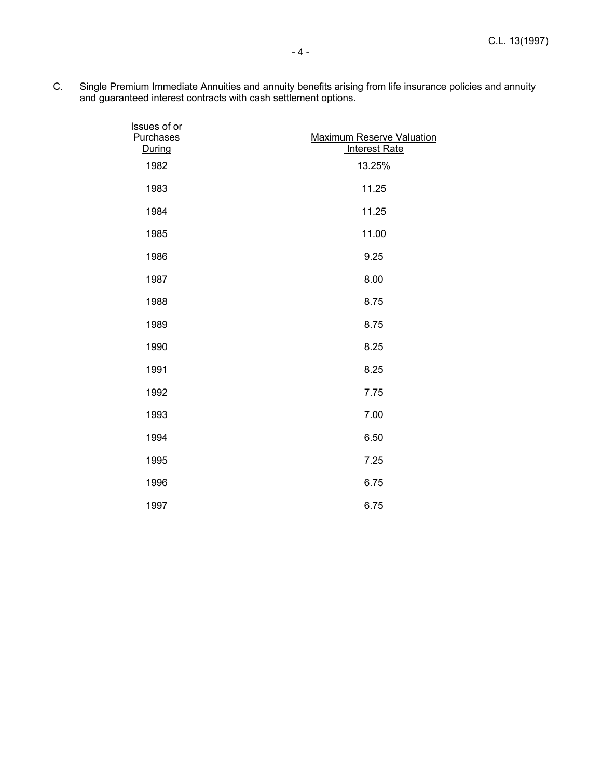C. Single Premium Immediate Annuities and annuity benefits arising from life insurance policies and annuity and guaranteed interest contracts with cash settlement options.

| Issues of or<br>Purchases | <b>Maximum Reserve Valuation</b> |
|---------------------------|----------------------------------|
| During                    | <b>Interest Rate</b>             |
| 1982                      | 13.25%                           |
| 1983                      | 11.25                            |
| 1984                      | 11.25                            |
| 1985                      | 11.00                            |
| 1986                      | 9.25                             |
| 1987                      | 8.00                             |
| 1988                      | 8.75                             |
| 1989                      | 8.75                             |
| 1990                      | 8.25                             |
| 1991                      | 8.25                             |
| 1992                      | 7.75                             |
| 1993                      | 7.00                             |
| 1994                      | 6.50                             |
| 1995                      | 7.25                             |
| 1996                      | 6.75                             |
| 1997                      | 6.75                             |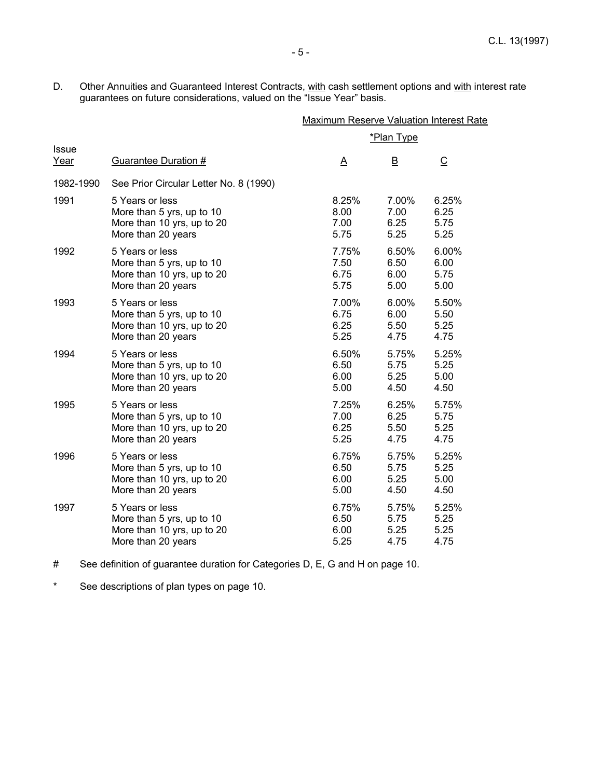D. Other Annuities and Guaranteed Interest Contracts, with cash settlement options and with interest rate guarantees on future considerations, valued on the "Issue Year" basis.

|                      |                                        | <b>Maximum Reserve Valuation Interest Rate</b> |                         |                |
|----------------------|----------------------------------------|------------------------------------------------|-------------------------|----------------|
|                      |                                        |                                                | <u>*Plan Type</u>       |                |
| <b>Issue</b><br>Year | Guarantee Duration #                   | <u>A</u>                                       | $\overline{\mathsf{B}}$ | $\overline{C}$ |
| 1982-1990            | See Prior Circular Letter No. 8 (1990) |                                                |                         |                |
| 1991                 | 5 Years or less                        | 8.25%                                          | 7.00%                   | 6.25%          |
|                      | More than 5 yrs, up to 10              | 8.00                                           | 7.00                    | 6.25           |
|                      | More than 10 yrs, up to 20             | 7.00                                           | 6.25                    | 5.75           |
|                      | More than 20 years                     | 5.75                                           | 5.25                    | 5.25           |
| 1992                 | 5 Years or less                        | 7.75%                                          | 6.50%                   | 6.00%          |
|                      | More than 5 yrs, up to 10              | 7.50                                           | 6.50                    | 6.00           |
|                      | More than 10 yrs, up to 20             | 6.75                                           | 6.00                    | 5.75           |
|                      | More than 20 years                     | 5.75                                           | 5.00                    | 5.00           |
| 1993                 | 5 Years or less                        | 7.00%                                          | 6.00%                   | 5.50%          |
|                      | More than 5 yrs, up to 10              | 6.75                                           | 6.00                    | 5.50           |
|                      | More than 10 yrs, up to 20             | 6.25                                           | 5.50                    | 5.25           |
|                      | More than 20 years                     | 5.25                                           | 4.75                    | 4.75           |
| 1994                 | 5 Years or less                        | 6.50%                                          | 5.75%                   | 5.25%          |
|                      | More than 5 yrs, up to 10              | 6.50                                           | 5.75                    | 5.25           |
|                      | More than 10 yrs, up to 20             | 6.00                                           | 5.25                    | 5.00           |
|                      | More than 20 years                     | 5.00                                           | 4.50                    | 4.50           |
| 1995                 | 5 Years or less                        | 7.25%                                          | 6.25%                   | 5.75%          |
|                      | More than 5 yrs, up to 10              | 7.00                                           | 6.25                    | 5.75           |
|                      | More than 10 yrs, up to 20             | 6.25                                           | 5.50                    | 5.25           |
|                      | More than 20 years                     | 5.25                                           | 4.75                    | 4.75           |
| 1996                 | 5 Years or less                        | 6.75%                                          | 5.75%                   | 5.25%          |
|                      | More than 5 yrs, up to 10              | 6.50                                           | 5.75                    | 5.25           |
|                      | More than 10 yrs, up to 20             | 6.00                                           | 5.25                    | 5.00           |
|                      | More than 20 years                     | 5.00                                           | 4.50                    | 4.50           |
| 1997                 | 5 Years or less                        | 6.75%                                          | 5.75%                   | 5.25%          |
|                      | More than 5 yrs, up to 10              | 6.50                                           | 5.75                    | 5.25           |
|                      | More than 10 yrs, up to 20             | 6.00                                           | 5.25                    | 5.25           |
|                      | More than 20 years                     | 5.25                                           | 4.75                    | 4.75           |

# See definition of guarantee duration for Categories D, E, G and H on page 10.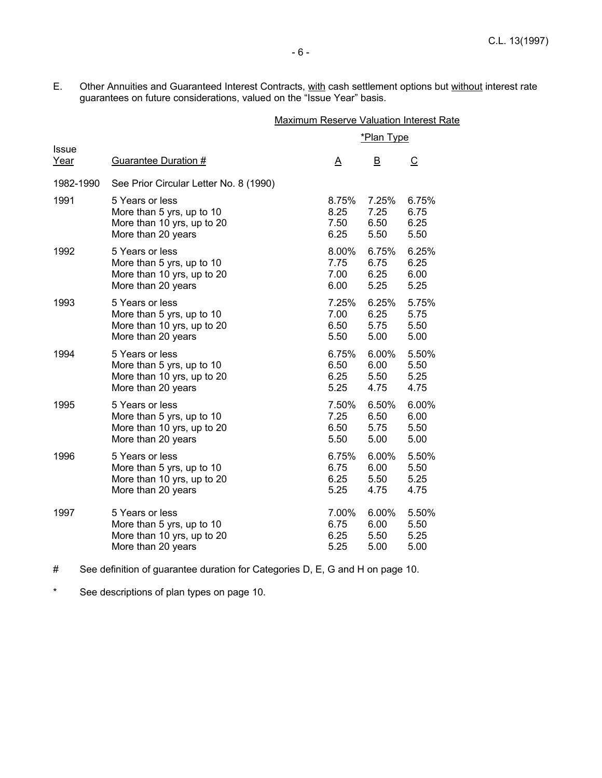E. Other Annuities and Guaranteed Interest Contracts, with cash settlement options but without interest rate guarantees on future considerations, valued on the "Issue Year" basis.

|                      |                                        | <b>Maximum Reserve Valuation Interest Rate</b> |                         |                |
|----------------------|----------------------------------------|------------------------------------------------|-------------------------|----------------|
|                      |                                        |                                                | <u>*Plan Type</u>       |                |
| <b>Issue</b><br>Year | <b>Guarantee Duration #</b>            | <u>Α</u>                                       | $\overline{\mathsf{B}}$ | $\overline{C}$ |
| 1982-1990            | See Prior Circular Letter No. 8 (1990) |                                                |                         |                |
| 1991                 | 5 Years or less                        | 8.75%                                          | 7.25%                   | 6.75%          |
|                      | More than 5 yrs, up to 10              | 8.25                                           | 7.25                    | 6.75           |
|                      | More than 10 yrs, up to 20             | 7.50                                           | 6.50                    | 6.25           |
|                      | More than 20 years                     | 6.25                                           | 5.50                    | 5.50           |
| 1992                 | 5 Years or less                        | 8.00%                                          | 6.75%                   | 6.25%          |
|                      | More than 5 yrs, up to 10              | 7.75                                           | 6.75                    | 6.25           |
|                      | More than 10 yrs, up to 20             | 7.00                                           | 6.25                    | 6.00           |
|                      | More than 20 years                     | 6.00                                           | 5.25                    | 5.25           |
| 1993                 | 5 Years or less                        | 7.25%                                          | 6.25%                   | 5.75%          |
|                      | More than 5 yrs, up to 10              | 7.00                                           | 6.25                    | 5.75           |
|                      | More than 10 yrs, up to 20             | 6.50                                           | 5.75                    | 5.50           |
|                      | More than 20 years                     | 5.50                                           | 5.00                    | 5.00           |
| 1994                 | 5 Years or less                        | 6.75%                                          | 6.00%                   | 5.50%          |
|                      | More than 5 yrs, up to 10              | 6.50                                           | 6.00                    | 5.50           |
|                      | More than 10 yrs, up to 20             | 6.25                                           | 5.50                    | 5.25           |
|                      | More than 20 years                     | 5.25                                           | 4.75                    | 4.75           |
| 1995                 | 5 Years or less                        | 7.50%                                          | 6.50%                   | 6.00%          |
|                      | More than 5 yrs, up to 10              | 7.25                                           | 6.50                    | 6.00           |
|                      | More than 10 yrs, up to 20             | 6.50                                           | 5.75                    | 5.50           |
|                      | More than 20 years                     | 5.50                                           | 5.00                    | 5.00           |
| 1996                 | 5 Years or less                        | 6.75%                                          | 6.00%                   | 5.50%          |
|                      | More than 5 yrs, up to 10              | 6.75                                           | 6.00                    | 5.50           |
|                      | More than 10 yrs, up to 20             | 6.25                                           | 5.50                    | 5.25           |
|                      | More than 20 years                     | 5.25                                           | 4.75                    | 4.75           |
| 1997                 | 5 Years or less                        | 7.00%                                          | 6.00%                   | 5.50%          |
|                      | More than 5 yrs, up to 10              | 6.75                                           | 6.00                    | 5.50           |
|                      | More than 10 yrs, up to 20             | 6.25                                           | 5.50                    | 5.25           |
|                      | More than 20 years                     | 5.25                                           | 5.00                    | 5.00           |

# See definition of guarantee duration for Categories D, E, G and H on page 10.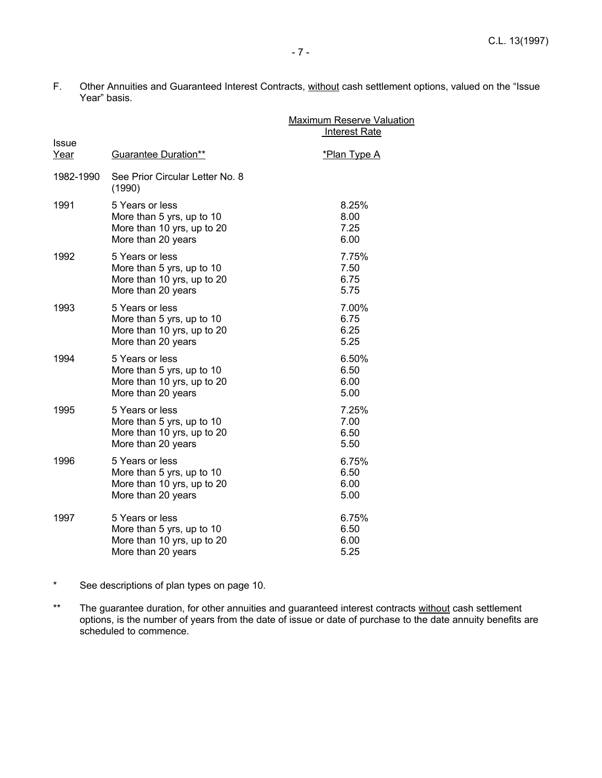F. Other Annuities and Guaranteed Interest Contracts, without cash settlement options, valued on the "Issue Year" basis.

|                      |                                                                                                  | <b>Maximum Reserve Valuation</b><br><b>Interest Rate</b> |
|----------------------|--------------------------------------------------------------------------------------------------|----------------------------------------------------------|
| <b>Issue</b><br>Year | <b>Guarantee Duration**</b>                                                                      | *Plan Type A                                             |
| 1982-1990            | See Prior Circular Letter No. 8<br>(1990)                                                        |                                                          |
| 1991                 | 5 Years or less<br>More than 5 yrs, up to 10<br>More than 10 yrs, up to 20<br>More than 20 years | 8.25%<br>8.00<br>7.25<br>6.00                            |
| 1992                 | 5 Years or less<br>More than 5 yrs, up to 10<br>More than 10 yrs, up to 20<br>More than 20 years | 7.75%<br>7.50<br>6.75<br>5.75                            |
| 1993                 | 5 Years or less<br>More than 5 yrs, up to 10<br>More than 10 yrs, up to 20<br>More than 20 years | 7.00%<br>6.75<br>6.25<br>5.25                            |
| 1994                 | 5 Years or less<br>More than 5 yrs, up to 10<br>More than 10 yrs, up to 20<br>More than 20 years | 6.50%<br>6.50<br>6.00<br>5.00                            |
| 1995                 | 5 Years or less<br>More than 5 yrs, up to 10<br>More than 10 yrs, up to 20<br>More than 20 years | 7.25%<br>7.00<br>6.50<br>5.50                            |
| 1996                 | 5 Years or less<br>More than 5 yrs, up to 10<br>More than 10 yrs, up to 20<br>More than 20 years | 6.75%<br>6.50<br>6.00<br>5.00                            |
| 1997                 | 5 Years or less<br>More than 5 yrs, up to 10<br>More than 10 yrs, up to 20<br>More than 20 years | 6.75%<br>6.50<br>6.00<br>5.25                            |

- \* See descriptions of plan types on page 10.
- \*\* The guarantee duration, for other annuities and guaranteed interest contracts without cash settlement options, is the number of years from the date of issue or date of purchase to the date annuity benefits are scheduled to commence.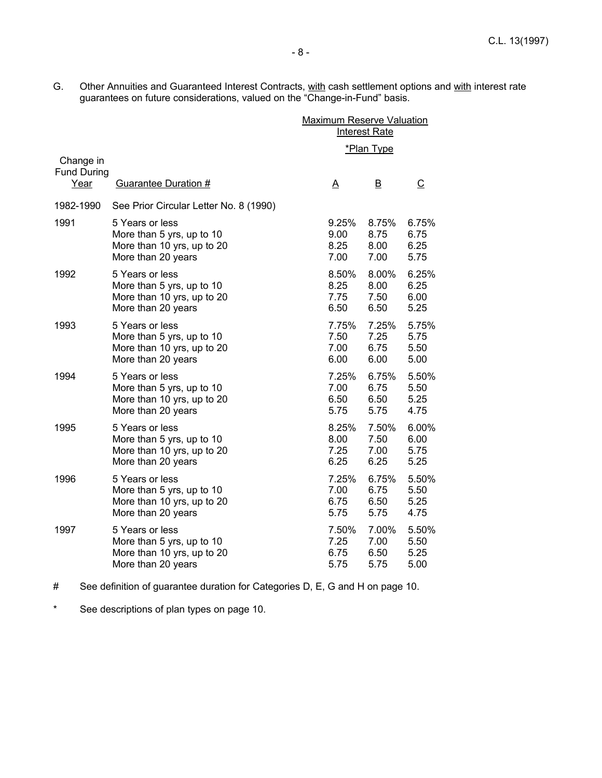G. Other Annuities and Guaranteed Interest Contracts, with cash settlement options and with interest rate guarantees on future considerations, valued on the "Change-in-Fund" basis.

|                                         |                                                                                                  |                               | <b>Maximum Reserve Valuation</b><br><b>Interest Rate</b> |                                  |
|-----------------------------------------|--------------------------------------------------------------------------------------------------|-------------------------------|----------------------------------------------------------|----------------------------------|
|                                         |                                                                                                  |                               | *Plan Type                                               |                                  |
| Change in<br><b>Fund During</b><br>Year | Guarantee Duration #                                                                             | <u>A</u>                      | B                                                        | C                                |
| 1982-1990                               | See Prior Circular Letter No. 8 (1990)                                                           |                               |                                                          |                                  |
| 1991                                    | 5 Years or less<br>More than 5 yrs, up to 10<br>More than 10 yrs, up to 20<br>More than 20 years | 9.25%<br>9.00<br>8.25<br>7.00 | 8.75%<br>8.75<br>8.00<br>7.00                            | 6.75%<br>6.75<br>6.25<br>5.75    |
| 1992                                    | 5 Years or less<br>More than 5 yrs, up to 10<br>More than 10 yrs, up to 20<br>More than 20 years | 8.50%<br>8.25<br>7.75<br>6.50 | 8.00%<br>8.00<br>7.50<br>6.50                            | 6.25%<br>6.25<br>6.00<br>5.25    |
| 1993                                    | 5 Years or less<br>More than 5 yrs, up to 10<br>More than 10 yrs, up to 20<br>More than 20 years | 7.75%<br>7.50<br>7.00<br>6.00 | 7.25%<br>7.25<br>6.75<br>6.00                            | 5.75%<br>5.75<br>5.50<br>5.00    |
| 1994                                    | 5 Years or less<br>More than 5 yrs, up to 10<br>More than 10 yrs, up to 20<br>More than 20 years | 7.25%<br>7.00<br>6.50<br>5.75 | 6.75%<br>6.75<br>6.50<br>5.75                            | 5.50%<br>5.50<br>5.25<br>4.75    |
| 1995                                    | 5 Years or less<br>More than 5 yrs, up to 10<br>More than 10 yrs, up to 20<br>More than 20 years | 8.25%<br>8.00<br>7.25<br>6.25 | 7.50%<br>7.50<br>7.00<br>6.25                            | $6.00\%$<br>6.00<br>5.75<br>5.25 |
| 1996                                    | 5 Years or less<br>More than 5 yrs, up to 10<br>More than 10 yrs, up to 20<br>More than 20 years | 7.25%<br>7.00<br>6.75<br>5.75 | 6.75%<br>6.75<br>6.50<br>5.75                            | 5.50%<br>5.50<br>5.25<br>4.75    |
| 1997                                    | 5 Years or less<br>More than 5 yrs, up to 10<br>More than 10 yrs, up to 20<br>More than 20 years | 7.50%<br>7.25<br>6.75<br>5.75 | 7.00%<br>7.00<br>6.50<br>5.75                            | 5.50%<br>5.50<br>5.25<br>5.00    |

# See definition of guarantee duration for Categories D, E, G and H on page 10.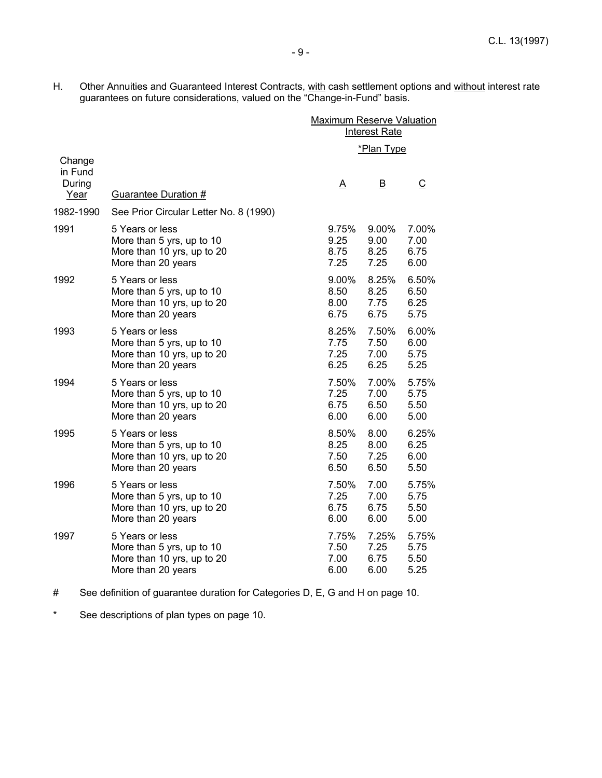H. Other Annuities and Guaranteed Interest Contracts, with cash settlement options and without interest rate guarantees on future considerations, valued on the "Change-in-Fund" basis.

|                           |                                        | <b>Maximum Reserve Valuation</b><br><b>Interest Rate</b> |                         |                |
|---------------------------|----------------------------------------|----------------------------------------------------------|-------------------------|----------------|
| Change                    |                                        |                                                          | *Plan Type              |                |
| in Fund<br>During<br>Year | Guarantee Duration #                   | Δ                                                        | $\overline{\mathsf{B}}$ | $\overline{C}$ |
| 1982-1990                 | See Prior Circular Letter No. 8 (1990) |                                                          |                         |                |
| 1991                      | 5 Years or less                        | 9.75%                                                    | 9.00%                   | 7.00%          |
|                           | More than 5 yrs, up to 10              | 9.25                                                     | 9.00                    | 7.00           |
|                           | More than 10 yrs, up to 20             | 8.75                                                     | 8.25                    | 6.75           |
|                           | More than 20 years                     | 7.25                                                     | 7.25                    | 6.00           |
| 1992                      | 5 Years or less                        | 9.00%                                                    | 8.25%                   | 6.50%          |
|                           | More than 5 yrs, up to 10              | 8.50                                                     | 8.25                    | 6.50           |
|                           | More than 10 yrs, up to 20             | 8.00                                                     | 7.75                    | 6.25           |
|                           | More than 20 years                     | 6.75                                                     | 6.75                    | 5.75           |
| 1993                      | 5 Years or less                        | 8.25%                                                    | 7.50%                   | 6.00%          |
|                           | More than 5 yrs, up to 10              | 7.75                                                     | 7.50                    | 6.00           |
|                           | More than 10 yrs, up to 20             | 7.25                                                     | 7.00                    | 5.75           |
|                           | More than 20 years                     | 6.25                                                     | 6.25                    | 5.25           |
| 1994                      | 5 Years or less                        | 7.50%                                                    | 7.00%                   | 5.75%          |
|                           | More than 5 yrs, up to 10              | 7.25                                                     | 7.00                    | 5.75           |
|                           | More than 10 yrs, up to 20             | 6.75                                                     | 6.50                    | 5.50           |
|                           | More than 20 years                     | 6.00                                                     | 6.00                    | 5.00           |
| 1995                      | 5 Years or less                        | 8.50%                                                    | 8.00                    | 6.25%          |
|                           | More than 5 yrs, up to 10              | 8.25                                                     | 8.00                    | 6.25           |
|                           | More than 10 yrs, up to 20             | 7.50                                                     | 7.25                    | 6.00           |
|                           | More than 20 years                     | 6.50                                                     | 6.50                    | 5.50           |
| 1996                      | 5 Years or less                        | 7.50%                                                    | 7.00                    | 5.75%          |
|                           | More than 5 yrs, up to 10              | 7.25                                                     | 7.00                    | 5.75           |
|                           | More than 10 yrs, up to 20             | 6.75                                                     | 6.75                    | 5.50           |
|                           | More than 20 years                     | 6.00                                                     | 6.00                    | 5.00           |
| 1997                      | 5 Years or less                        | 7.75%                                                    | 7.25%                   | 5.75%          |
|                           | More than 5 yrs, up to 10              | 7.50                                                     | 7.25                    | 5.75           |
|                           | More than 10 yrs, up to 20             | 7.00                                                     | 6.75                    | 5.50           |
|                           | More than 20 years                     | 6.00                                                     | 6.00                    | 5.25           |

<sup>#</sup> See definition of guarantee duration for Categories D, E, G and H on page 10.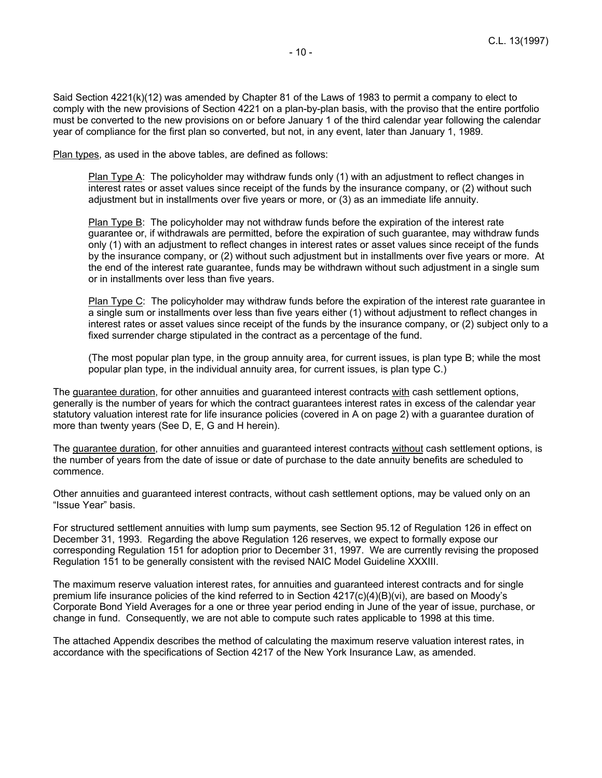Said Section 4221(k)(12) was amended by Chapter 81 of the Laws of 1983 to permit a company to elect to comply with the new provisions of Section 4221 on a plan-by-plan basis, with the proviso that the entire portfolio must be converted to the new provisions on or before January 1 of the third calendar year following the calendar year of compliance for the first plan so converted, but not, in any event, later than January 1, 1989.

Plan types, as used in the above tables, are defined as follows:

Plan Type A: The policyholder may withdraw funds only (1) with an adjustment to reflect changes in interest rates or asset values since receipt of the funds by the insurance company, or (2) without such adjustment but in installments over five years or more, or (3) as an immediate life annuity.

Plan Type B: The policyholder may not withdraw funds before the expiration of the interest rate guarantee or, if withdrawals are permitted, before the expiration of such guarantee, may withdraw funds only (1) with an adjustment to reflect changes in interest rates or asset values since receipt of the funds by the insurance company, or (2) without such adjustment but in installments over five years or more. At the end of the interest rate guarantee, funds may be withdrawn without such adjustment in a single sum or in installments over less than five years.

Plan Type C: The policyholder may withdraw funds before the expiration of the interest rate quarantee in a single sum or installments over less than five years either (1) without adjustment to reflect changes in interest rates or asset values since receipt of the funds by the insurance company, or (2) subject only to a fixed surrender charge stipulated in the contract as a percentage of the fund.

(The most popular plan type, in the group annuity area, for current issues, is plan type B; while the most popular plan type, in the individual annuity area, for current issues, is plan type C.)

The guarantee duration, for other annuities and guaranteed interest contracts with cash settlement options, generally is the number of years for which the contract guarantees interest rates in excess of the calendar year statutory valuation interest rate for life insurance policies (covered in A on page 2) with a guarantee duration of more than twenty years (See D, E, G and H herein).

The guarantee duration, for other annuities and guaranteed interest contracts without cash settlement options, is the number of years from the date of issue or date of purchase to the date annuity benefits are scheduled to commence.

Other annuities and guaranteed interest contracts, without cash settlement options, may be valued only on an "Issue Year" basis.

For structured settlement annuities with lump sum payments, see Section 95.12 of Regulation 126 in effect on December 31, 1993. Regarding the above Regulation 126 reserves, we expect to formally expose our corresponding Regulation 151 for adoption prior to December 31, 1997. We are currently revising the proposed Regulation 151 to be generally consistent with the revised NAIC Model Guideline XXXIII.

The maximum reserve valuation interest rates, for annuities and guaranteed interest contracts and for single premium life insurance policies of the kind referred to in Section 4217(c)(4)(B)(vi), are based on Moody's Corporate Bond Yield Averages for a one or three year period ending in June of the year of issue, purchase, or change in fund. Consequently, we are not able to compute such rates applicable to 1998 at this time.

The attached Appendix describes the method of calculating the maximum reserve valuation interest rates, in accordance with the specifications of Section 4217 of the New York Insurance Law, as amended.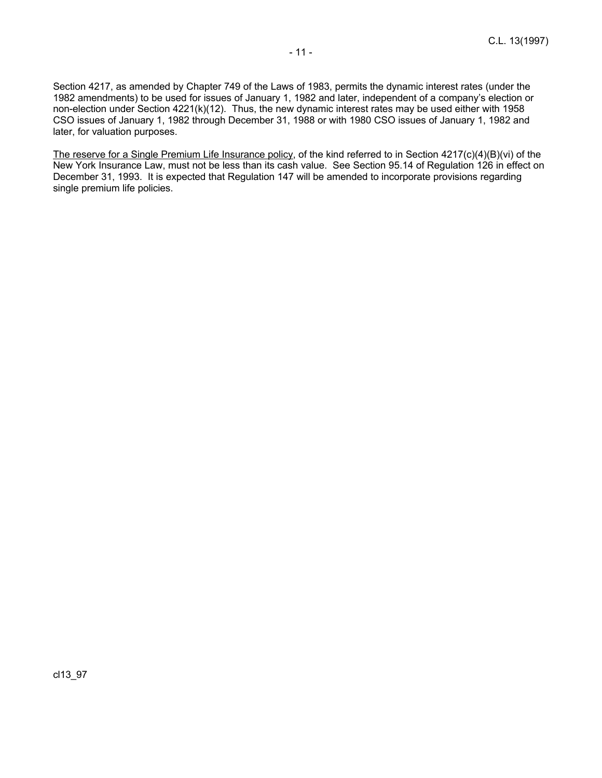The reserve for a Single Premium Life Insurance policy, of the kind referred to in Section 4217(c)(4)(B)(vi) of the New York Insurance Law, must not be less than its cash value. See Section 95.14 of Regulation 126 in effect on December 31, 1993. It is expected that Regulation 147 will be amended to incorporate provisions regarding single premium life policies.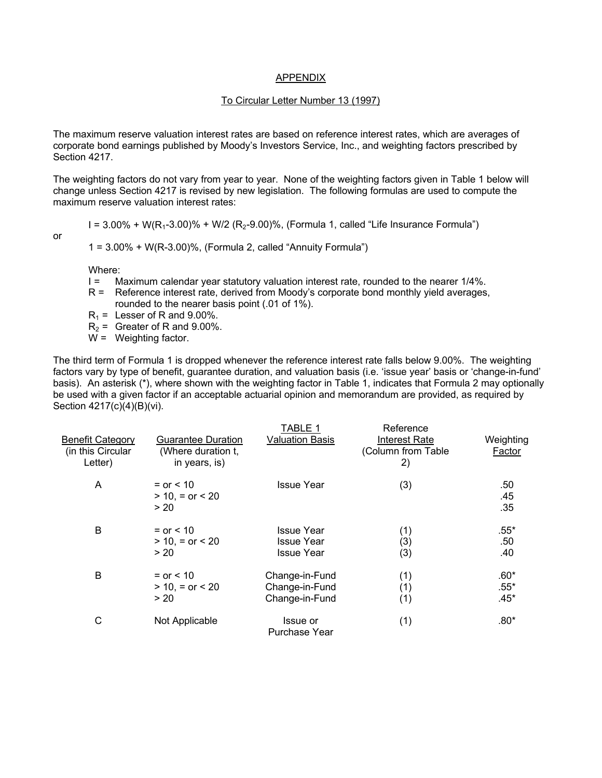#### APPENDIX

#### To Circular Letter Number 13 (1997)

The maximum reserve valuation interest rates are based on reference interest rates, which are averages of corporate bond earnings published by Moody's Investors Service, Inc., and weighting factors prescribed by Section 4217.

The weighting factors do not vary from year to year. None of the weighting factors given in Table 1 below will change unless Section 4217 is revised by new legislation. The following formulas are used to compute the maximum reserve valuation interest rates:

$$
\mathsf{or}\quad
$$

 $I = 3.00\% + W(R<sub>1</sub>-3.00)\% + W/2$  (R<sub>2</sub>-9.00)%, (Formula 1, called "Life Insurance Formula")

 $1 = 3.00\% + W(R-3.00)\%$ , (Formula 2, called "Annuity Formula")

Where:

- I = Maximum calendar year statutory valuation interest rate, rounded to the nearer 1/4%.
- R = Reference interest rate, derived from Moody's corporate bond monthly yield averages, rounded to the nearer basis point (.01 of 1%).
- $R_1$  = Lesser of R and 9.00%.
- $R<sub>2</sub>$  = Greater of R and 9.00%.
- W = Weighting factor.

The third term of Formula 1 is dropped whenever the reference interest rate falls below 9.00%. The weighting factors vary by type of benefit, guarantee duration, and valuation basis (i.e. 'issue year' basis or 'change-in-fund' basis). An asterisk (\*), where shown with the weighting factor in Table 1, indicates that Formula 2 may optionally be used with a given factor if an acceptable actuarial opinion and memorandum are provided, as required by Section 4217(c)(4)(B)(vi).

| <b>Benefit Category</b><br>(in this Circular<br>Letter) | <b>Guarantee Duration</b><br>(Where duration t,<br>in years, is) | TABLE 1<br><b>Valuation Basis</b>                           | Reference<br><b>Interest Rate</b><br>(Column from Table<br>2) | Weighting<br>Factor        |
|---------------------------------------------------------|------------------------------------------------------------------|-------------------------------------------------------------|---------------------------------------------------------------|----------------------------|
| Α                                                       | $=$ or $< 10$<br>$> 10$ , = or < 20<br>> 20                      | <b>Issue Year</b>                                           | (3)                                                           | .50<br>.45<br>.35          |
| B                                                       | $=$ or $< 10$<br>$> 10$ , = or < 20<br>> 20                      | <b>Issue Year</b><br><b>Issue Year</b><br><b>Issue Year</b> | (1)<br>(3)<br>(3)                                             | $.55*$<br>.50<br>.40       |
| B                                                       | $=$ or $< 10$<br>$> 10$ , = or < 20<br>> 20                      | Change-in-Fund<br>Change-in-Fund<br>Change-in-Fund          | (1)<br>(1)<br>(1)                                             | $.60*$<br>$.55*$<br>$.45*$ |
| C                                                       | Not Applicable                                                   | Issue or<br>Purchase Year                                   | (1)                                                           | $.80*$                     |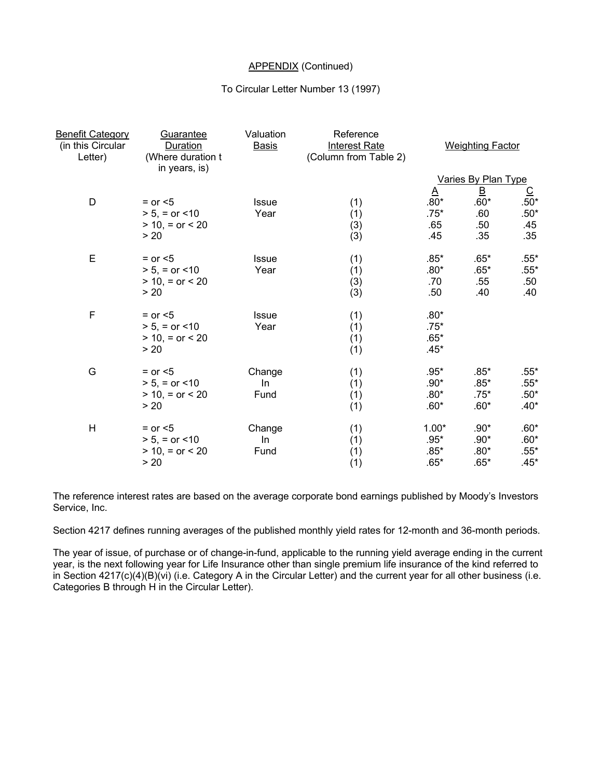## APPENDIX (Continued)

#### To Circular Letter Number 13 (1997)

| <b>Benefit Category</b><br>(in this Circular<br>Letter) | Guarantee<br>Duration<br>(Where duration t<br>in years, is) | Valuation<br><b>Basis</b> | Reference<br><b>Interest Rate</b><br>(Column from Table 2) |          | <b>Weighting Factor</b>    |               |
|---------------------------------------------------------|-------------------------------------------------------------|---------------------------|------------------------------------------------------------|----------|----------------------------|---------------|
|                                                         |                                                             |                           |                                                            |          | <b>Varies By Plan Type</b> |               |
|                                                         |                                                             |                           |                                                            | $\Delta$ | $\overline{\mathsf{B}}$    | $rac{C}{50*}$ |
| D                                                       | $=$ or $<$ 5                                                | Issue                     | (1)                                                        | $.80*$   | $.60*$                     |               |
|                                                         | $> 5$ , = or <10                                            | Year                      | (1)                                                        | $.75*$   | .60                        | $.50*$        |
|                                                         | $> 10$ , = or < 20                                          |                           | (3)                                                        | .65      | .50                        | .45           |
|                                                         | > 20                                                        |                           | (3)                                                        | .45      | .35                        | .35           |
| E                                                       | $=$ or $<$ 5                                                | Issue                     | (1)                                                        | $.85*$   | $.65*$                     | $.55*$        |
|                                                         | $> 5$ , = or <10                                            | Year                      | (1)                                                        | $.80*$   | $.65*$                     | $.55*$        |
|                                                         | $> 10$ , = or < 20                                          |                           | (3)                                                        | .70      | .55                        | .50           |
|                                                         | > 20                                                        |                           | (3)                                                        | .50      | .40                        | .40           |
| $\mathsf F$                                             | $=$ or $<$ 5                                                | Issue                     | (1)                                                        | $.80*$   |                            |               |
|                                                         | $> 5$ , = or <10                                            | Year                      | (1)                                                        | $.75*$   |                            |               |
|                                                         | $> 10$ , = or < 20                                          |                           | (1)                                                        | $.65*$   |                            |               |
|                                                         | > 20                                                        |                           | (1)                                                        | $.45*$   |                            |               |
| G                                                       | $=$ or $<$ 5                                                | Change                    | (1)                                                        | $.95*$   | $.85*$                     | $.55*$        |
|                                                         | $> 5$ , = or <10                                            | In.                       | (1)                                                        | $.90*$   | $.85*$                     | $.55*$        |
|                                                         | $> 10$ , = or < 20                                          | Fund                      | (1)                                                        | $.80*$   | $.75*$                     | $.50*$        |
|                                                         | > 20                                                        |                           | (1)                                                        | $.60*$   | $.60*$                     | $.40*$        |
| H                                                       | $=$ or $<$ 5                                                | Change                    | (1)                                                        | $1.00*$  | $.90*$                     | $.60*$        |
|                                                         | $> 5$ , = or <10                                            | In                        | (1)                                                        | $.95*$   | $.90*$                     | $.60*$        |
|                                                         | $> 10$ , = or < 20                                          | Fund                      | (1)                                                        | $.85*$   | $.80*$                     | $.55*$        |
|                                                         | > 20                                                        |                           | (1)                                                        | $.65*$   | $.65*$                     | $.45*$        |

The reference interest rates are based on the average corporate bond earnings published by Moody's Investors Service, Inc.

Section 4217 defines running averages of the published monthly yield rates for 12-month and 36-month periods.

The year of issue, of purchase or of change-in-fund, applicable to the running yield average ending in the current year, is the next following year for Life Insurance other than single premium life insurance of the kind referred to in Section 4217(c)(4)(B)(vi) (i.e. Category A in the Circular Letter) and the current year for all other business (i.e. Categories B through H in the Circular Letter).